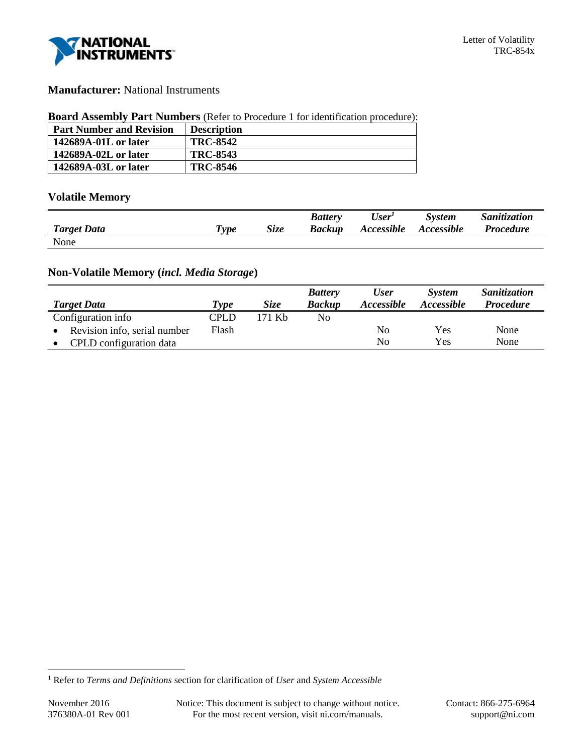

## **Manufacturer:** National Instruments

#### **Board Assembly Part Numbers** (Refer to Procedure 1 for identification procedure):

| <b>Part Number and Revision</b> | <b>Description</b> |
|---------------------------------|--------------------|
| 142689A-01L or later            | <b>TRC-8542</b>    |
| 142689A-02L or later            | <b>TRC-8543</b>    |
| 142689A-03L or later            | <b>TRC-8546</b>    |

# **Volatile Memory**

|                    |                       |      | <b>Battery</b> | User <sup>1</sup> | <b>System</b>     | <i><b>Sanitization</b></i> |
|--------------------|-----------------------|------|----------------|-------------------|-------------------|----------------------------|
| <b>Target Data</b> | $T$ <sub>V</sub> $pe$ | Size | Backup         | Accessible        | <b>Accessible</b> | <b>Procedure</b>           |
| None               |                       |      |                |                   |                   |                            |

## **Non-Volatile Memory (***incl. Media Storage***)**

| <b>Target Data</b>           | Type  | <b>Size</b> | <b>Battery</b><br><b>Backup</b> | <b>User</b><br>Accessible | <b>System</b><br><i>Accessible</i> | Sanitization<br><b>Procedure</b> |
|------------------------------|-------|-------------|---------------------------------|---------------------------|------------------------------------|----------------------------------|
| Configuration info           | CPLD  | 171 Kb      | No                              |                           |                                    |                                  |
| Revision info, serial number | Flash |             |                                 | No                        | Yes                                | None                             |
| CPLD configuration data      |       |             |                                 | No                        | Yes                                | None                             |

l

<sup>1</sup> Refer to *Terms and Definitions* section for clarification of *User* and *System Accessible*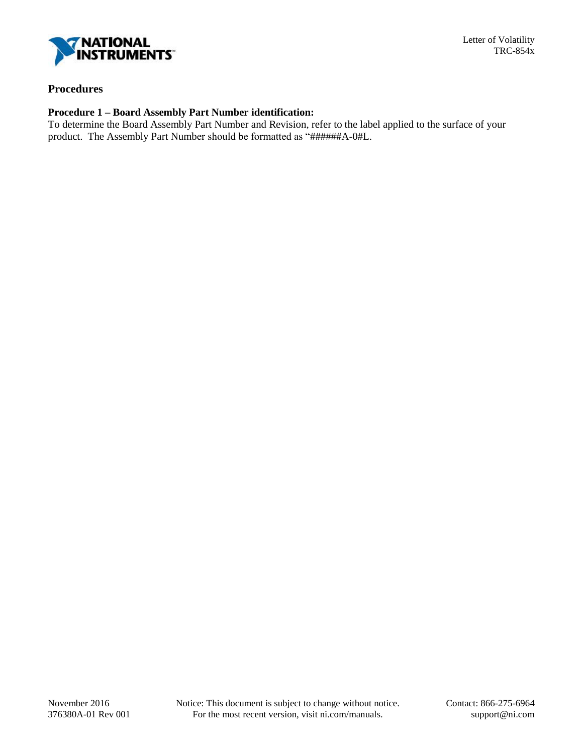

### **Procedures**

# **Procedure 1 – Board Assembly Part Number identification:**

To determine the Board Assembly Part Number and Revision, refer to the label applied to the surface of your product. The Assembly Part Number should be formatted as "######A-0#L.